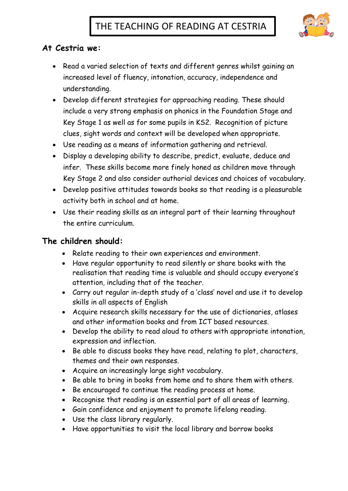

## **At Cestria we:**

- Read a varied selection of texts and different genres whilst gaining an increased level of fluency, intonation, accuracy, independence and understanding.
- Develop different strategies for approaching reading. These should include a very strong emphasis on phonics in the Foundation Stage and Key Stage 1 as well as for some pupils in KS2. Recognition of picture clues, sight words and context will be developed when appropriate.
- Use reading as a means of information gathering and retrieval.
- Display a developing ability to describe, predict, evaluate, deduce and infer. These skills become more finely honed as children move through Key Stage 2 and also consider authorial devices and choices of vocabulary.
- Develop positive attitudes towards books so that reading is a pleasurable activity both in school and at home.
- Use their reading skills as an integral part of their learning throughout the entire curriculum.

## **The children should:**

- Relate reading to their own experiences and environment.
- Have regular opportunity to read silently or share books with the realisation that reading time is valuable and should occupy everyone's attention, including that of the teacher.
- Carry out regular in-depth study of a 'class' novel and use it to develop skills in all aspects of English
- Acquire research skills necessary for the use of dictionaries, atlases and other information books and from ICT based resources.
- Develop the ability to read aloud to others with appropriate intonation, expression and inflection.
- Be able to discuss books they have read, relating to plot, characters, themes and their own responses.
- Acquire an increasingly large sight vocabulary.
- Be able to bring in books from home and to share them with others.
- Be encouraged to continue the reading process at home.
- Recognise that reading is an essential part of all areas of learning.
- Gain confidence and enjoyment to promote lifelong reading.
- Use the class library regularly.
- Have opportunities to visit the local library and borrow books